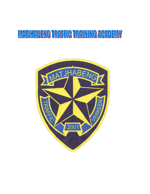# **MATUHABENG TRAFFIC TRAINING ACADEMY**

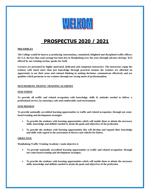

## **PROSPECTUS 2020 / 2021**

#### **PREAMBLES**

**The College would be known as producing conscientious, committed, delighted and disciplined traffic officers for S.A. the fact that road carnage has been less in Matjhabeng over the years through advance driving / K53 offered by our training section, speaks for itself.**

**Lectures are presented by highly motivated, dedicated and competent instructors. The instructors equip the trainees with much more than just knowledge through practical sessions the trainees are afforded an opportunity to use their sense and rational thinking in making decisions, communicate effectively and are qualities which permeate to our trainees through our strong motto of professionalism.**

#### **MATJHABENG TRAFFIC TRAINING ACADEMY**

#### **OUR VISION**

**To provide all traffic and related occupation with knowledge, skills & attitudes needed to deliver a professional service, by ensuring a safe and comfortable road environment.**

#### **OUR MISSION**

**To provide nationally accredited learning opportunities to traffic and related occupation: through out comebased training and development strategies.** 

- **To provide the students with learning opportunities which will enable them to obtain the necessary skills, knowledge and abilities needed to attain the goals and objectives of the profession.**
- **To provide the students with learning opportunities this will develop and expand their knowledge and skills with regard to the assessment of drivers and vehicles for fitness.**

#### **OBJECTIVE**

**Matjhabeng Traffic Training Academy`s main objective is**

- **To provide nationally accredited learning opportunities to traffic and related occupation: through out come-based training and development strategies.**
- **To provide the students with learning opportunities which will enable them to obtain the necessary skills, knowledge and abilities needed to attain the goals and objectives of the profession.**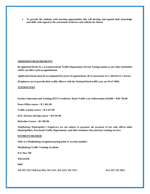**To provide the students with learning opportunities this will develop and expand their knowledge and skills with regard to the assessment of drivers and vehicles for fitness.**

#### **ADMISSION REQUIREMENTS**

**Be appointed firstly by a Local/provincial Traffic Department, Private Testing station or any other institution which can effect such an appointment.**

**Application forms must be accompanied by prove of appointment. Be in possession of a valid driver's license.** 

**(Employers are to provide their traffic officers with the National Road traffic acts, act 93 of 1996)**

#### **TUITION FEES**

**Further Education and Training (FET) Certificate: Road Traffic Law Enforcement (62289) = R20 736.00**

**Peace Office course = R 2 861.00**

**Traffic warden course = R 6 437.00**

**K53/ Advance driving course = R4 291.00**

**Refresher Course = R1 485.00**

**Matjhabeng Municipality's Employees are not subject to payment, the payment of fees only affects other Municipalities, Provincial Traffic Departments, and other institutes that need our training services.**

#### **PAYMENT METHOD**

**Only at a Matjhabeng recognized paying point or account number:**

**Matjhabeng Traffic Training Academy**

**P.O. Box 708**

**WELKOM**

**9460**

**Tel: 057-355 1228 (ext.101), 355 1211, 355 1225, 355 1257. Fax: 057-352 3821**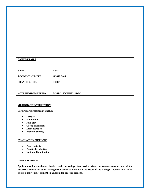| <b>BANK DETAILS</b>        |                      |
|----------------------------|----------------------|
|                            |                      |
|                            |                      |
|                            |                      |
| <b>BANK:</b>               | <b>ABSA</b>          |
|                            |                      |
|                            |                      |
| <b>ACCOUNT NUMBER:</b>     | 405370 5465          |
|                            |                      |
| <b>BRANCH CODE:</b>        | 632005               |
|                            |                      |
|                            |                      |
|                            |                      |
| <b>VOTE NUMBER/REF NO:</b> | 34551421500FH22222WM |
|                            |                      |

#### **METHOD OF INSTRUCTION**

#### **Lectures are presented in English**

- **Lecture**
- **Simulation**
- Role play
- **Group discussion**
- **Demonstration**
- **Problem-solving**

## **EVALUATION METHODS**

- **Progress tests**
- **Practical evaluation**
- **National Examination**

#### **GENERAL RULES**

**Applications for enrolment should reach the college four weeks before the commencement date of the respective course, or other arrangement could be done with the Head of the College. Trainees for traffic officer's course must bring their uniform for practice sessions.**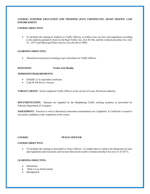### **COURSE: FURTHER EDUCATION AND TRAINING (FET) CERTIFICATE: ROAD TRAFFIC LAW ENFORCEMENT**

#### **COURSE OBJECTIVE:**

 To facilitate the training of students as Traffic Officers, to Enforce law, by-laws and regulations according to the authority granted to them by the Road Traffic Act, (Act 93/ 96), and the criminal procedure Act, (Act 51 / 1977) and Municipal Police Service Act (Act 68 of 1995)

#### **LEARNING OBJECTIVE:**

Theoretical and practical training as per curriculum for Traffic Officers

#### **DURATION: Twelve (12) Months**

#### **ADMISSION REQUIREMENTS:**

- GRADE 12 or equivalent certificate.
- Code B/ EB driver's license.

**TARGET GROUP:** Newly employed Traffic Officers in the service of Local, Provincial authority.

**DOCUMENTATION:** Manuals are supplied by the Matjhabeng Traffic training academy as prescribed by National Department of Transport:

**ASSESSMENT:** Practical as well as theoretical assessment examinations are Completed. A Certificate is issued to successful candidates at the completion of the course.

#### **COURSE: PEACE OFFICER**

#### **COURSE OBJECTIVE:**

 To facilitate the training of personnel as Peace Officers. To enable them to enforce the Municipal by-laws and regulations and executions and execute their powers under criminal procedure Act (Act 51 of 1977).

#### **LEARNING OBJECTIVE:**

- **Definitions**
- What is Law Enforcement
- Management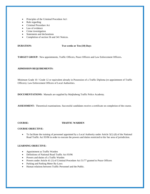- Principles of the Criminal Procedure Act\
- Rule regarding
- Criminal Procedure Act
- Law of evidence
- Crime investigation
- Statements and declarations
- Completion of section 56 and 341 Notices.

#### **DURATION: Two weeks or Ten (10) Days**

**TARGET GROUP:** New appointments, Traffic Officers, Peace Officers and Law Enforcement Officers**.**

#### **ADMISSION REQUIREMENTS:**

Minimum Grade 10 / Grade 12 or equivalent already in Possession of a Traffic Diploma (re-appointment of Traffic Officers). Law Enforcement Officers of Local Authorities.

**DOCUMENTATIONS:** Manuals are supplied by Matjhabeng Traffic Police Academy.

**ASSESSMENT:** Theoretical examinations. Successful candidates receive a certificate on completion of the course.

#### **COURSE: TRAFFIC WARDEN**

#### **COURSE OBJECTIVE:**

 $\bullet$  To facilitate the training of personnel appointed by a Local Authority under Article 3(1) (d) of the National Road Traffic Act 93/96 in order to execute the powers and duties restricted to his/ her area of jurisdiction.

#### **LEARNING OBJECTIVE:**

- Appointment as Traffic Warden
- Definitions of National Road Traffic Act 93/96
- Powers and duties of a Traffic Warden
- Powers under Article 41 (1) of Criminal Procedure Act 51/77 granted to Peace Officers
- Parking and Parking Meter By-Laws
- Human relations between Traffic Personnel and the Public.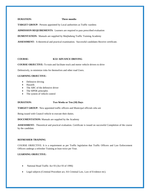#### **DURATION: Three months**

**TARGET GROUP:** Persons appointed by Local authorities as Traffic wardens

**ADMISSION REQUIREMENTS:** Learners are required to pass prescribed evaluation

**DUMENTATION:** Manuals are supplied by Matjhabeng Traffic Training Academy

**ASSESSMENT:** A theoretical and practical examination. Successful candidates Receive certificate.

#### **COURSE: K53/ ADVANCE DRIVING**

**COURSE OBJECTIVE:** To train and facilitate truck and motor vehicle drivers to drive

Defensively, to minimize risks for themselves and other road Users.

#### **LEARNING OBJECTIVE:**

- Defensive driving
- Hazards
- The ABC of the defensive driver
- The SIPDE principles
- The system of vehicle control

#### **DURATION: Two Weeks or Ten (10) Days**

**TARGET GROUP:** New appointed traffic officers and Municipal officials who are

Being issued with Council vehicle to execute their duties.

#### **DOCUMENTATION:** Manuals are supplied by the Academy

**ASSESSMENT:** Theoretical and practical evaluation. Certificate is issued on successful Completion of the course by the candidate.

#### **REFRESHER TRAINING**

COURSE OBJECTIVE: It is a requirement as per Traffic legislation that Traffic Officers and Law Enforcement Officers undergo a refresher Training at least twice per Year.

#### **LEARNING OBJECTIVE:**

- National Road Traffic Act 93 (Act 93 of 1996)
- Legal subjects (Criminal Procedure act, SA Criminal Law, Law of Evidence etc).